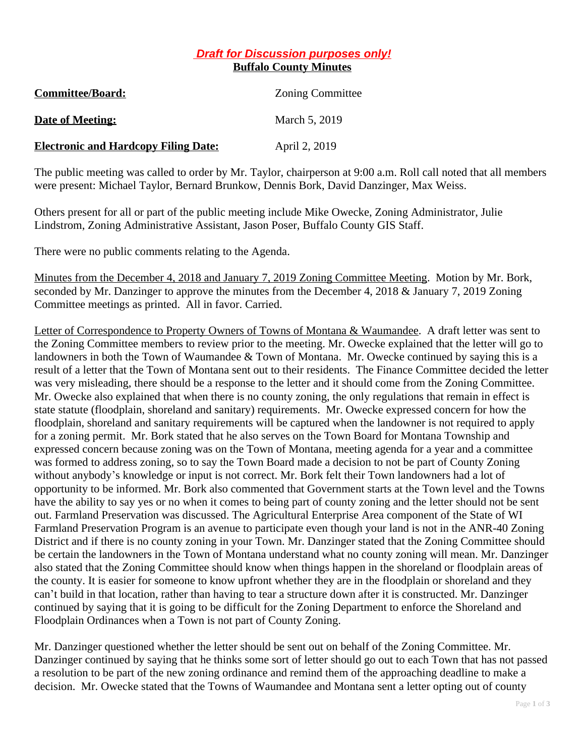## *Draft for Discussion purposes only!* **Buffalo County Minutes**

| <b>Committee/Board:</b>                     | <b>Zoning Committee</b> |
|---------------------------------------------|-------------------------|
| <b>Date of Meeting:</b>                     | March 5, 2019           |
| <b>Electronic and Hardcopy Filing Date:</b> | April 2, 2019           |

The public meeting was called to order by Mr. Taylor, chairperson at 9:00 a.m. Roll call noted that all members were present: Michael Taylor, Bernard Brunkow, Dennis Bork, David Danzinger, Max Weiss.

Others present for all or part of the public meeting include Mike Owecke, Zoning Administrator, Julie Lindstrom, Zoning Administrative Assistant, Jason Poser, Buffalo County GIS Staff.

There were no public comments relating to the Agenda.

Minutes from the December 4, 2018 and January 7, 2019 Zoning Committee Meeting. Motion by Mr. Bork, seconded by Mr. Danzinger to approve the minutes from the December 4, 2018 & January 7, 2019 Zoning Committee meetings as printed. All in favor. Carried.

Letter of Correspondence to Property Owners of Towns of Montana & Waumandee. A draft letter was sent to the Zoning Committee members to review prior to the meeting. Mr. Owecke explained that the letter will go to landowners in both the Town of Waumandee & Town of Montana. Mr. Owecke continued by saying this is a result of a letter that the Town of Montana sent out to their residents. The Finance Committee decided the letter was very misleading, there should be a response to the letter and it should come from the Zoning Committee. Mr. Owecke also explained that when there is no county zoning, the only regulations that remain in effect is state statute (floodplain, shoreland and sanitary) requirements. Mr. Owecke expressed concern for how the floodplain, shoreland and sanitary requirements will be captured when the landowner is not required to apply for a zoning permit. Mr. Bork stated that he also serves on the Town Board for Montana Township and expressed concern because zoning was on the Town of Montana, meeting agenda for a year and a committee was formed to address zoning, so to say the Town Board made a decision to not be part of County Zoning without anybody's knowledge or input is not correct. Mr. Bork felt their Town landowners had a lot of opportunity to be informed. Mr. Bork also commented that Government starts at the Town level and the Towns have the ability to say yes or no when it comes to being part of county zoning and the letter should not be sent out. Farmland Preservation was discussed. The Agricultural Enterprise Area component of the State of WI Farmland Preservation Program is an avenue to participate even though your land is not in the ANR-40 Zoning District and if there is no county zoning in your Town. Mr. Danzinger stated that the Zoning Committee should be certain the landowners in the Town of Montana understand what no county zoning will mean. Mr. Danzinger also stated that the Zoning Committee should know when things happen in the shoreland or floodplain areas of the county. It is easier for someone to know upfront whether they are in the floodplain or shoreland and they can't build in that location, rather than having to tear a structure down after it is constructed. Mr. Danzinger continued by saying that it is going to be difficult for the Zoning Department to enforce the Shoreland and Floodplain Ordinances when a Town is not part of County Zoning.

Mr. Danzinger questioned whether the letter should be sent out on behalf of the Zoning Committee. Mr. Danzinger continued by saying that he thinks some sort of letter should go out to each Town that has not passed a resolution to be part of the new zoning ordinance and remind them of the approaching deadline to make a decision. Mr. Owecke stated that the Towns of Waumandee and Montana sent a letter opting out of county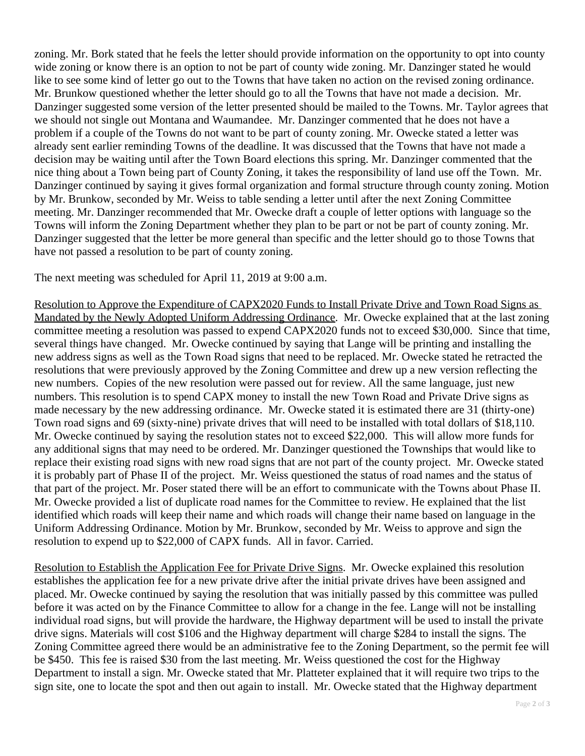zoning. Mr. Bork stated that he feels the letter should provide information on the opportunity to opt into county wide zoning or know there is an option to not be part of county wide zoning. Mr. Danzinger stated he would like to see some kind of letter go out to the Towns that have taken no action on the revised zoning ordinance. Mr. Brunkow questioned whether the letter should go to all the Towns that have not made a decision. Mr. Danzinger suggested some version of the letter presented should be mailed to the Towns. Mr. Taylor agrees that we should not single out Montana and Waumandee. Mr. Danzinger commented that he does not have a problem if a couple of the Towns do not want to be part of county zoning. Mr. Owecke stated a letter was already sent earlier reminding Towns of the deadline. It was discussed that the Towns that have not made a decision may be waiting until after the Town Board elections this spring. Mr. Danzinger commented that the nice thing about a Town being part of County Zoning, it takes the responsibility of land use off the Town. Mr. Danzinger continued by saying it gives formal organization and formal structure through county zoning. Motion by Mr. Brunkow, seconded by Mr. Weiss to table sending a letter until after the next Zoning Committee meeting. Mr. Danzinger recommended that Mr. Owecke draft a couple of letter options with language so the Towns will inform the Zoning Department whether they plan to be part or not be part of county zoning. Mr. Danzinger suggested that the letter be more general than specific and the letter should go to those Towns that have not passed a resolution to be part of county zoning.

The next meeting was scheduled for April 11, 2019 at 9:00 a.m.

Resolution to Approve the Expenditure of CAPX2020 Funds to Install Private Drive and Town Road Signs as Mandated by the Newly Adopted Uniform Addressing Ordinance. Mr. Owecke explained that at the last zoning committee meeting a resolution was passed to expend CAPX2020 funds not to exceed \$30,000. Since that time, several things have changed. Mr. Owecke continued by saying that Lange will be printing and installing the new address signs as well as the Town Road signs that need to be replaced. Mr. Owecke stated he retracted the resolutions that were previously approved by the Zoning Committee and drew up a new version reflecting the new numbers. Copies of the new resolution were passed out for review. All the same language, just new numbers. This resolution is to spend CAPX money to install the new Town Road and Private Drive signs as made necessary by the new addressing ordinance. Mr. Owecke stated it is estimated there are 31 (thirty-one) Town road signs and 69 (sixty-nine) private drives that will need to be installed with total dollars of \$18,110. Mr. Owecke continued by saying the resolution states not to exceed \$22,000. This will allow more funds for any additional signs that may need to be ordered. Mr. Danzinger questioned the Townships that would like to replace their existing road signs with new road signs that are not part of the county project. Mr. Owecke stated it is probably part of Phase II of the project. Mr. Weiss questioned the status of road names and the status of that part of the project. Mr. Poser stated there will be an effort to communicate with the Towns about Phase II. Mr. Owecke provided a list of duplicate road names for the Committee to review. He explained that the list identified which roads will keep their name and which roads will change their name based on language in the Uniform Addressing Ordinance. Motion by Mr. Brunkow, seconded by Mr. Weiss to approve and sign the resolution to expend up to \$22,000 of CAPX funds. All in favor. Carried.

Resolution to Establish the Application Fee for Private Drive Signs. Mr. Owecke explained this resolution establishes the application fee for a new private drive after the initial private drives have been assigned and placed. Mr. Owecke continued by saying the resolution that was initially passed by this committee was pulled before it was acted on by the Finance Committee to allow for a change in the fee. Lange will not be installing individual road signs, but will provide the hardware, the Highway department will be used to install the private drive signs. Materials will cost \$106 and the Highway department will charge \$284 to install the signs. The Zoning Committee agreed there would be an administrative fee to the Zoning Department, so the permit fee will be \$450. This fee is raised \$30 from the last meeting. Mr. Weiss questioned the cost for the Highway Department to install a sign. Mr. Owecke stated that Mr. Platteter explained that it will require two trips to the sign site, one to locate the spot and then out again to install. Mr. Owecke stated that the Highway department